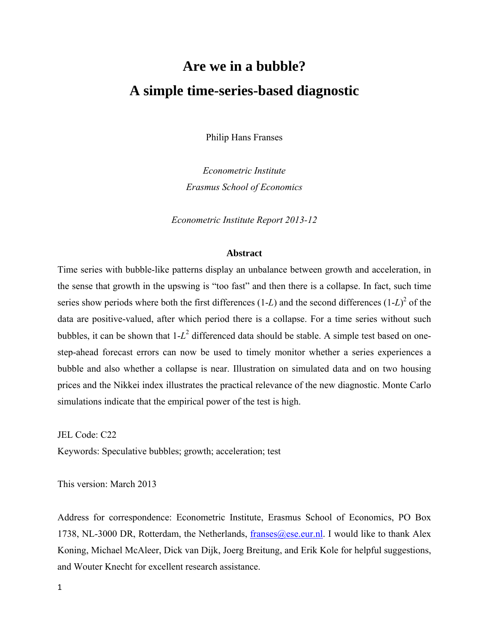# **Are we in a bubble? A simple time-series-based diagnostic**

Philip Hans Franses

*Econometric Institute Erasmus School of Economics* 

*Econometric Institute Report 2013-12* 

#### **Abstract**

Time series with bubble-like patterns display an unbalance between growth and acceleration, in the sense that growth in the upswing is "too fast" and then there is a collapse. In fact, such time series show periods where both the first differences  $(1-L)$  and the second differences  $(1-L)^2$  of the data are positive-valued, after which period there is a collapse. For a time series without such bubbles, it can be shown that  $1-L^2$  differenced data should be stable. A simple test based on onestep-ahead forecast errors can now be used to timely monitor whether a series experiences a bubble and also whether a collapse is near. Illustration on simulated data and on two housing prices and the Nikkei index illustrates the practical relevance of the new diagnostic. Monte Carlo simulations indicate that the empirical power of the test is high.

JEL Code: C22 Keywords: Speculative bubbles; growth; acceleration; test

This version: March 2013

Address for correspondence: Econometric Institute, Erasmus School of Economics, PO Box 1738, NL-3000 DR, Rotterdam, the Netherlands,  $franses@ese.eur.nl$ . I would like to thank Alex Koning, Michael McAleer, Dick van Dijk, Joerg Breitung, and Erik Kole for helpful suggestions, and Wouter Knecht for excellent research assistance.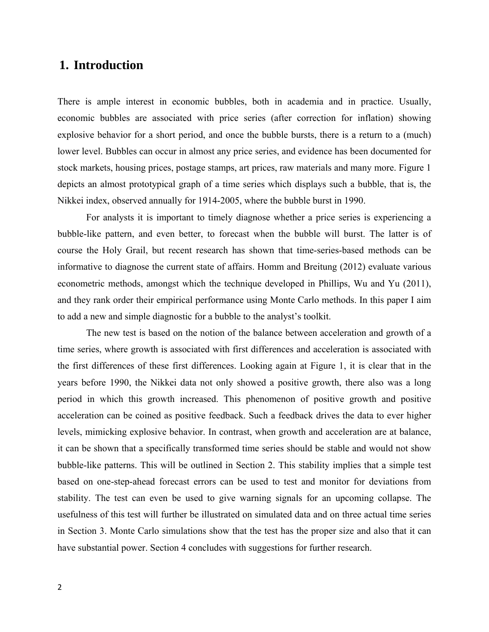## **1. Introduction**

There is ample interest in economic bubbles, both in academia and in practice. Usually, economic bubbles are associated with price series (after correction for inflation) showing explosive behavior for a short period, and once the bubble bursts, there is a return to a (much) lower level. Bubbles can occur in almost any price series, and evidence has been documented for stock markets, housing prices, postage stamps, art prices, raw materials and many more. Figure 1 depicts an almost prototypical graph of a time series which displays such a bubble, that is, the Nikkei index, observed annually for 1914-2005, where the bubble burst in 1990.

 For analysts it is important to timely diagnose whether a price series is experiencing a bubble-like pattern, and even better, to forecast when the bubble will burst. The latter is of course the Holy Grail, but recent research has shown that time-series-based methods can be informative to diagnose the current state of affairs. Homm and Breitung (2012) evaluate various econometric methods, amongst which the technique developed in Phillips, Wu and Yu (2011), and they rank order their empirical performance using Monte Carlo methods. In this paper I aim to add a new and simple diagnostic for a bubble to the analyst's toolkit.

 The new test is based on the notion of the balance between acceleration and growth of a time series, where growth is associated with first differences and acceleration is associated with the first differences of these first differences. Looking again at Figure 1, it is clear that in the years before 1990, the Nikkei data not only showed a positive growth, there also was a long period in which this growth increased. This phenomenon of positive growth and positive acceleration can be coined as positive feedback. Such a feedback drives the data to ever higher levels, mimicking explosive behavior. In contrast, when growth and acceleration are at balance, it can be shown that a specifically transformed time series should be stable and would not show bubble-like patterns. This will be outlined in Section 2. This stability implies that a simple test based on one-step-ahead forecast errors can be used to test and monitor for deviations from stability. The test can even be used to give warning signals for an upcoming collapse. The usefulness of this test will further be illustrated on simulated data and on three actual time series in Section 3. Monte Carlo simulations show that the test has the proper size and also that it can have substantial power. Section 4 concludes with suggestions for further research.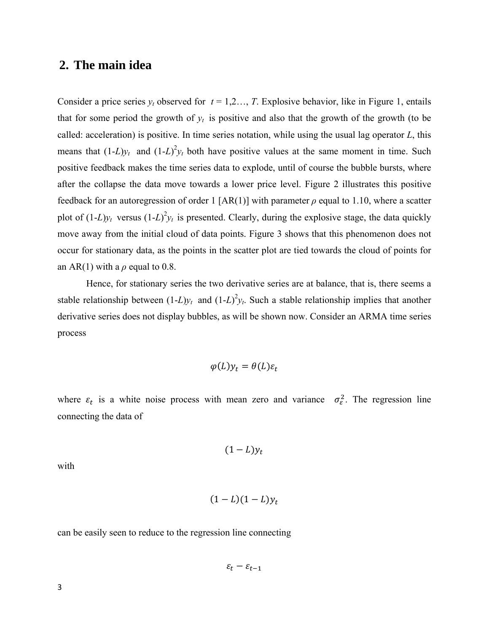## **2. The main idea**

Consider a price series  $y_t$  observed for  $t = 1, 2, ..., T$ . Explosive behavior, like in Figure 1, entails that for some period the growth of  $y_t$  is positive and also that the growth of the growth (to be called: acceleration) is positive. In time series notation, while using the usual lag operator *L*, this means that  $(1-L)y_t$  and  $(1-L)^2y_t$  both have positive values at the same moment in time. Such positive feedback makes the time series data to explode, until of course the bubble bursts, where after the collapse the data move towards a lower price level. Figure 2 illustrates this positive feedback for an autoregression of order 1 [AR(1)] with parameter  $\rho$  equal to 1.10, where a scatter plot of  $(1-L)y_t$  versus  $(1-L)^2y_t$  is presented. Clearly, during the explosive stage, the data quickly move away from the initial cloud of data points. Figure 3 shows that this phenomenon does not occur for stationary data, as the points in the scatter plot are tied towards the cloud of points for an AR(1) with a  $\rho$  equal to 0.8.

 Hence, for stationary series the two derivative series are at balance, that is, there seems a stable relationship between  $(1-L)y_t$  and  $(1-L)^2y_t$ . Such a stable relationship implies that another derivative series does not display bubbles, as will be shown now. Consider an ARMA time series process

$$
\varphi(L)y_t = \theta(L)\varepsilon_t
$$

where  $\varepsilon_t$  is a white noise process with mean zero and variance  $\sigma_{\varepsilon}^2$ . The regression line connecting the data of

$$
(1-L)y_t
$$

with

$$
(1-L)(1-L)y_t
$$

can be easily seen to reduce to the regression line connecting

$$
\varepsilon_t - \varepsilon_{t-1}
$$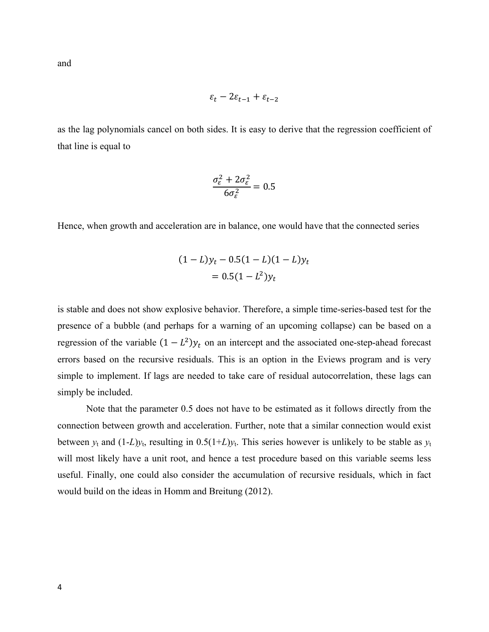and

$$
\varepsilon_t - 2\varepsilon_{t-1} + \varepsilon_{t-2}
$$

as the lag polynomials cancel on both sides. It is easy to derive that the regression coefficient of that line is equal to

$$
\frac{\sigma_{\varepsilon}^2 + 2\sigma_{\varepsilon}^2}{6\sigma_{\varepsilon}^2} = 0.5
$$

Hence, when growth and acceleration are in balance, one would have that the connected series

$$
(1 - L)y_t - 0.5(1 - L)(1 - L)y_t
$$
  
= 0.5(1 - L<sup>2</sup>)y<sub>t</sub>

is stable and does not show explosive behavior. Therefore, a simple time-series-based test for the presence of a bubble (and perhaps for a warning of an upcoming collapse) can be based on a regression of the variable  $(1 - L^2)y_t$  on an intercept and the associated one-step-ahead forecast errors based on the recursive residuals. This is an option in the Eviews program and is very simple to implement. If lags are needed to take care of residual autocorrelation, these lags can simply be included.

 Note that the parameter 0.5 does not have to be estimated as it follows directly from the connection between growth and acceleration. Further, note that a similar connection would exist between  $y_t$  and  $(1-L)y_t$ , resulting in  $0.5(1+L)y_t$ . This series however is unlikely to be stable as  $y_t$ will most likely have a unit root, and hence a test procedure based on this variable seems less useful. Finally, one could also consider the accumulation of recursive residuals, which in fact would build on the ideas in Homm and Breitung (2012).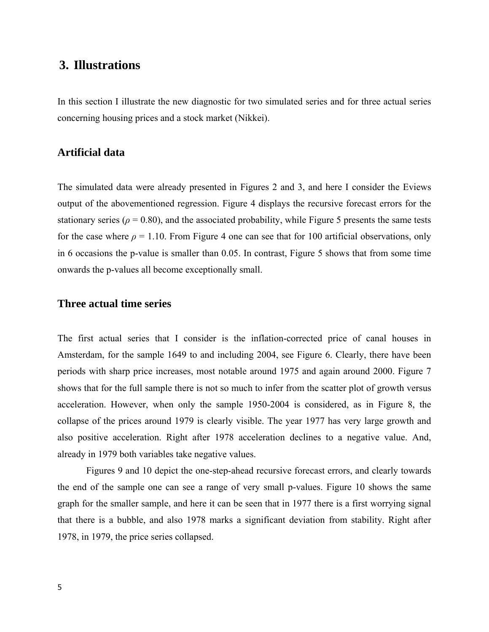## **3. Illustrations**

In this section I illustrate the new diagnostic for two simulated series and for three actual series concerning housing prices and a stock market (Nikkei).

#### **Artificial data**

The simulated data were already presented in Figures 2 and 3, and here I consider the Eviews output of the abovementioned regression. Figure 4 displays the recursive forecast errors for the stationary series ( $\rho = 0.80$ ), and the associated probability, while Figure 5 presents the same tests for the case where  $\rho = 1.10$ . From Figure 4 one can see that for 100 artificial observations, only in 6 occasions the p-value is smaller than 0.05. In contrast, Figure 5 shows that from some time onwards the p-values all become exceptionally small.

#### **Three actual time series**

The first actual series that I consider is the inflation-corrected price of canal houses in Amsterdam, for the sample 1649 to and including 2004, see Figure 6. Clearly, there have been periods with sharp price increases, most notable around 1975 and again around 2000. Figure 7 shows that for the full sample there is not so much to infer from the scatter plot of growth versus acceleration. However, when only the sample 1950-2004 is considered, as in Figure 8, the collapse of the prices around 1979 is clearly visible. The year 1977 has very large growth and also positive acceleration. Right after 1978 acceleration declines to a negative value. And, already in 1979 both variables take negative values.

 Figures 9 and 10 depict the one-step-ahead recursive forecast errors, and clearly towards the end of the sample one can see a range of very small p-values. Figure 10 shows the same graph for the smaller sample, and here it can be seen that in 1977 there is a first worrying signal that there is a bubble, and also 1978 marks a significant deviation from stability. Right after 1978, in 1979, the price series collapsed.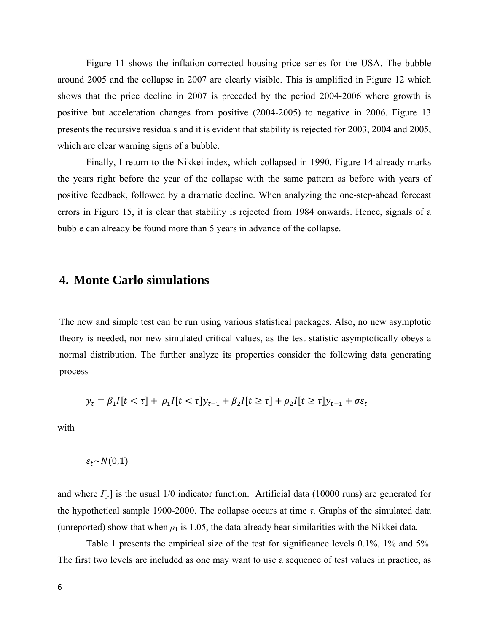Figure 11 shows the inflation-corrected housing price series for the USA. The bubble around 2005 and the collapse in 2007 are clearly visible. This is amplified in Figure 12 which shows that the price decline in 2007 is preceded by the period 2004-2006 where growth is positive but acceleration changes from positive (2004-2005) to negative in 2006. Figure 13 presents the recursive residuals and it is evident that stability is rejected for 2003, 2004 and 2005, which are clear warning signs of a bubble.

 Finally, I return to the Nikkei index, which collapsed in 1990. Figure 14 already marks the years right before the year of the collapse with the same pattern as before with years of positive feedback, followed by a dramatic decline. When analyzing the one-step-ahead forecast errors in Figure 15, it is clear that stability is rejected from 1984 onwards. Hence, signals of a bubble can already be found more than 5 years in advance of the collapse.

### **4. Monte Carlo simulations**

The new and simple test can be run using various statistical packages. Also, no new asymptotic theory is needed, nor new simulated critical values, as the test statistic asymptotically obeys a normal distribution. The further analyze its properties consider the following data generating process

$$
y_t = \beta_1 I[t < \tau] + \rho_1 I[t < \tau] y_{t-1} + \beta_2 I[t \ge \tau] + \rho_2 I[t \ge \tau] y_{t-1} + \sigma \varepsilon_t
$$

with

$$
\varepsilon_t{\sim}N(0{,}1)
$$

and where *I*[.] is the usual 1/0 indicator function. Artificial data (10000 runs) are generated for the hypothetical sample 1900-2000. The collapse occurs at time *τ*. Graphs of the simulated data (unreported) show that when  $\rho_1$  is 1.05, the data already bear similarities with the Nikkei data.

 Table 1 presents the empirical size of the test for significance levels 0.1%, 1% and 5%. The first two levels are included as one may want to use a sequence of test values in practice, as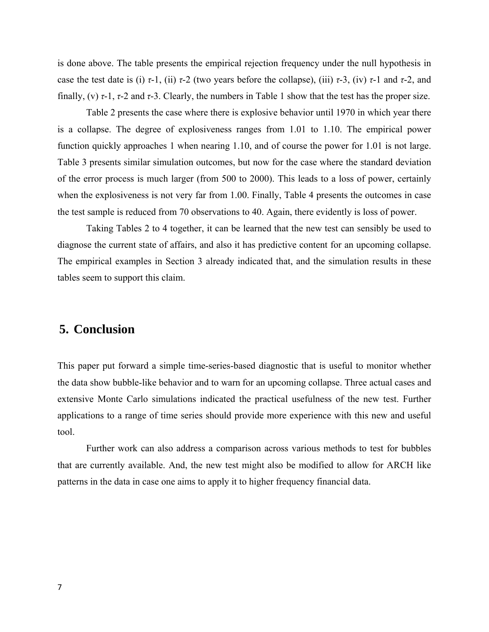is done above. The table presents the empirical rejection frequency under the null hypothesis in case the test date is (i)  $\tau$ -1, (ii)  $\tau$ -2 (two years before the collapse), (iii)  $\tau$ -3, (iv)  $\tau$ -1 and  $\tau$ -2, and finally, (v) *τ*-1, *τ*-2 and *τ*-3. Clearly, the numbers in Table 1 show that the test has the proper size.

 Table 2 presents the case where there is explosive behavior until 1970 in which year there is a collapse. The degree of explosiveness ranges from 1.01 to 1.10. The empirical power function quickly approaches 1 when nearing 1.10, and of course the power for 1.01 is not large. Table 3 presents similar simulation outcomes, but now for the case where the standard deviation of the error process is much larger (from 500 to 2000). This leads to a loss of power, certainly when the explosiveness is not very far from 1.00. Finally, Table 4 presents the outcomes in case the test sample is reduced from 70 observations to 40. Again, there evidently is loss of power.

 Taking Tables 2 to 4 together, it can be learned that the new test can sensibly be used to diagnose the current state of affairs, and also it has predictive content for an upcoming collapse. The empirical examples in Section 3 already indicated that, and the simulation results in these tables seem to support this claim.

## **5. Conclusion**

This paper put forward a simple time-series-based diagnostic that is useful to monitor whether the data show bubble-like behavior and to warn for an upcoming collapse. Three actual cases and extensive Monte Carlo simulations indicated the practical usefulness of the new test. Further applications to a range of time series should provide more experience with this new and useful tool.

 Further work can also address a comparison across various methods to test for bubbles that are currently available. And, the new test might also be modified to allow for ARCH like patterns in the data in case one aims to apply it to higher frequency financial data.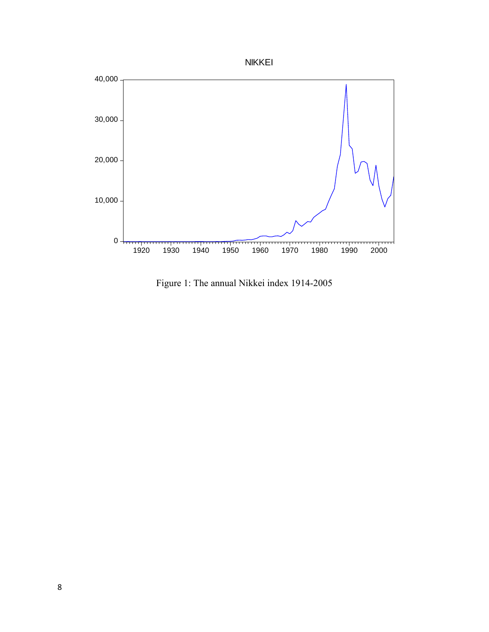



Figure 1: The annual Nikkei index 1914-2005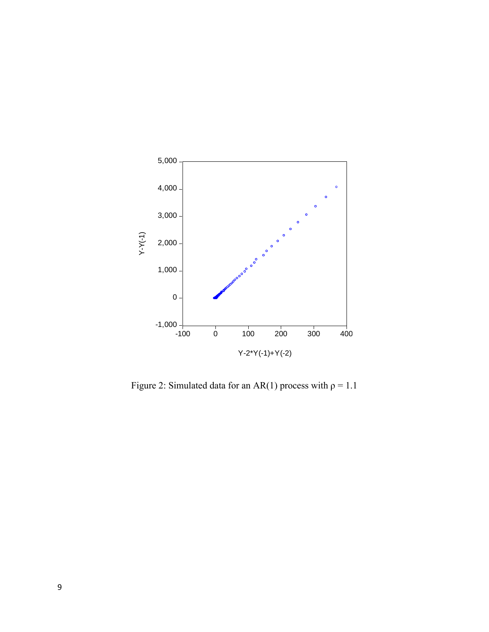

Figure 2: Simulated data for an AR(1) process with  $\rho = 1.1$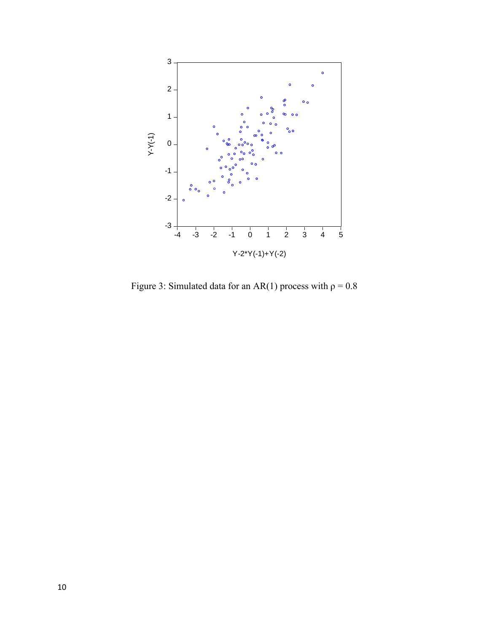

Figure 3: Simulated data for an AR(1) process with  $\rho = 0.8$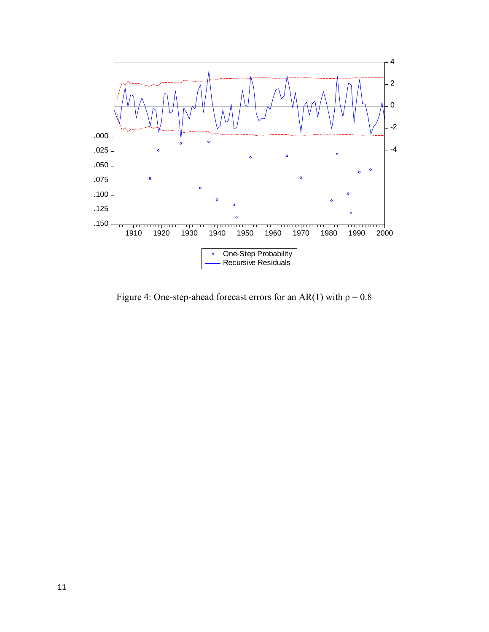

Figure 4: One-step-ahead forecast errors for an AR(1) with  $\rho = 0.8$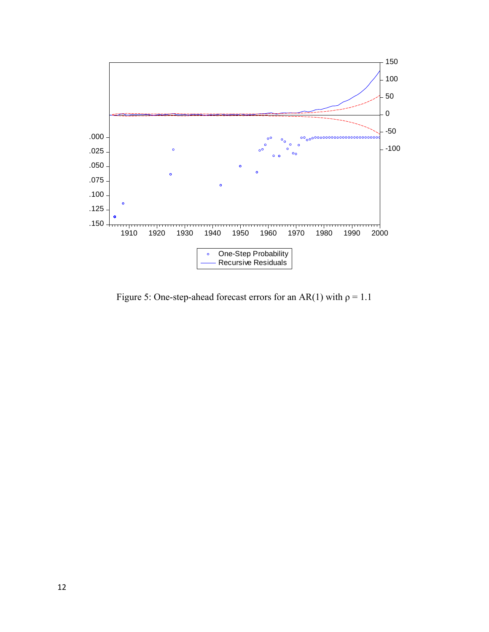

Figure 5: One-step-ahead forecast errors for an AR(1) with  $\rho = 1.1$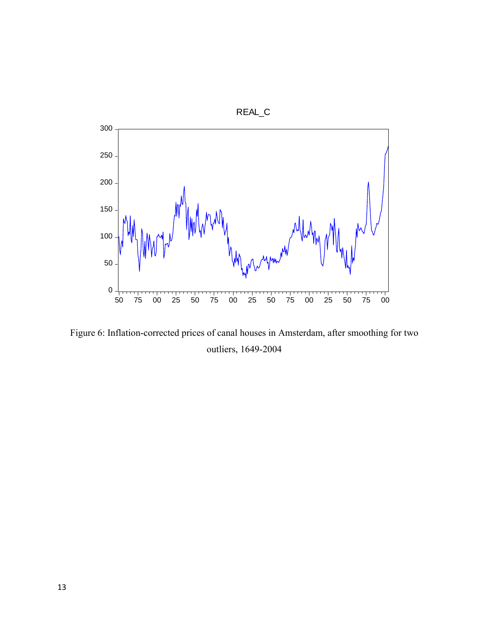

Figure 6: Inflation-corrected prices of canal houses in Amsterdam, after smoothing for two outliers, 1649-2004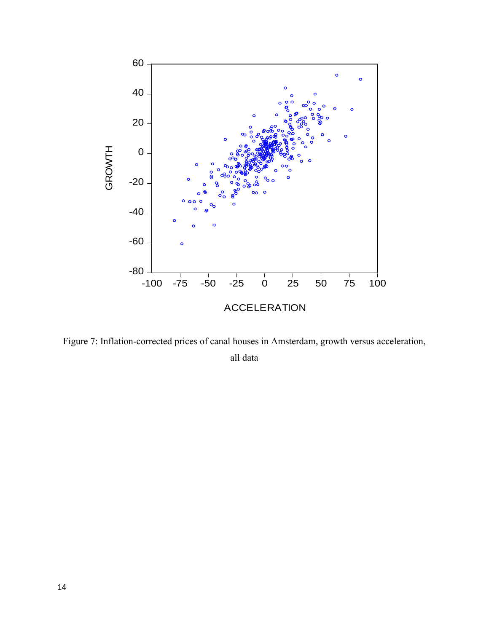

Figure 7: Inflation-corrected prices of canal houses in Amsterdam, growth versus acceleration, all data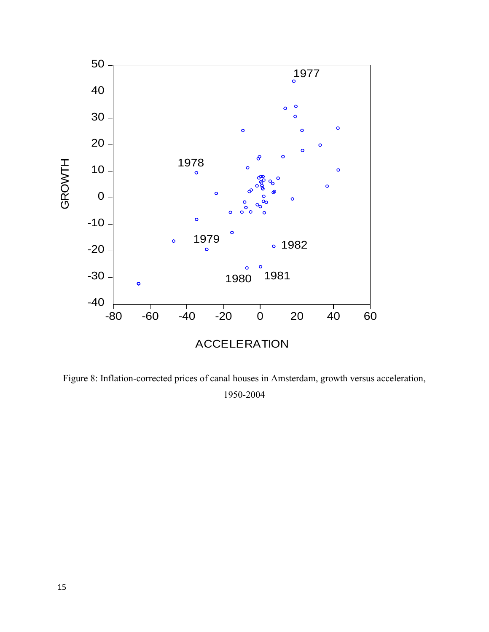

Figure 8: Inflation-corrected prices of canal houses in Amsterdam, growth versus acceleration, 1950-2004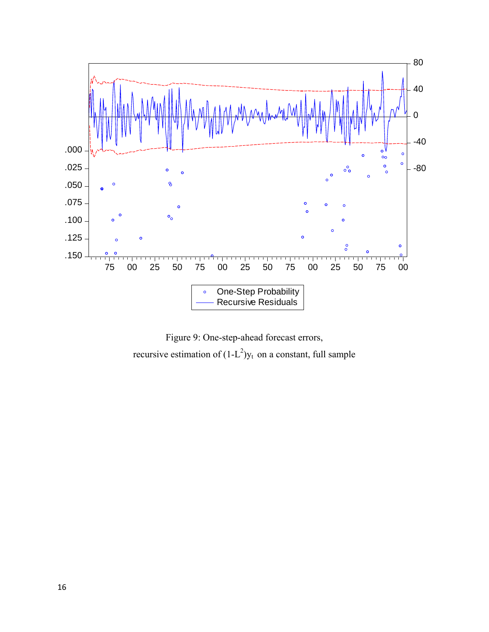

Figure 9: One-step-ahead forecast errors, recursive estimation of  $(1-L^2)y_t$  on a constant, full sample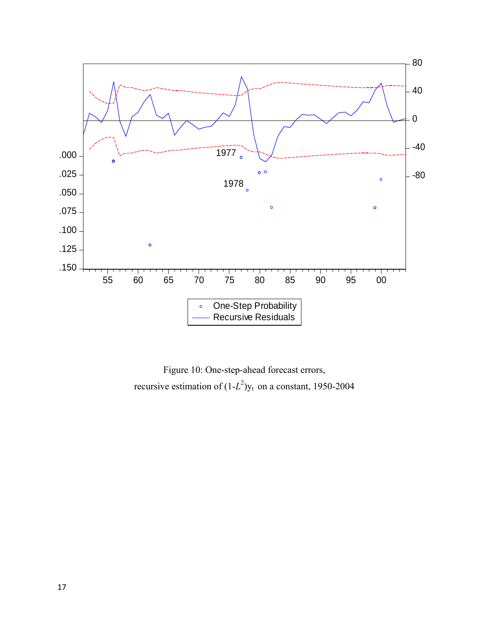

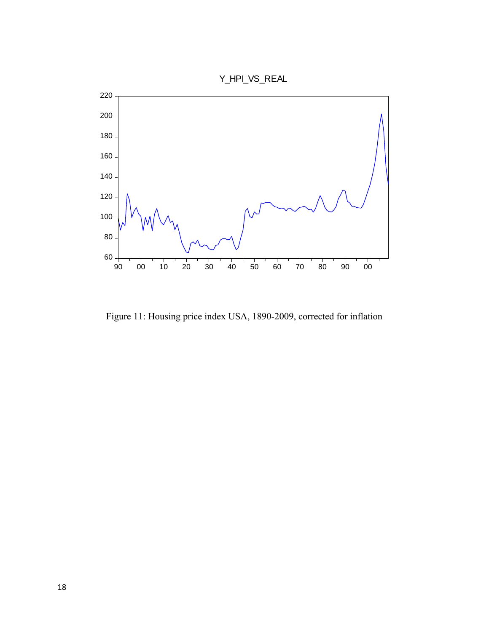

Figure 11: Housing price index USA, 1890-2009, corrected for inflation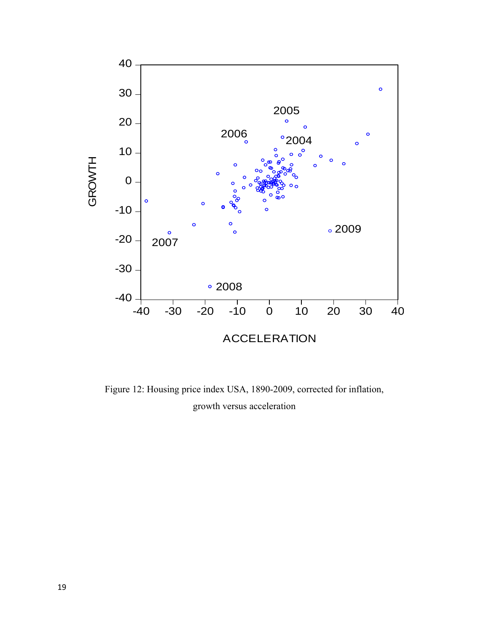

Figure 12: Housing price index USA, 1890-2009, corrected for inflation, growth versus acceleration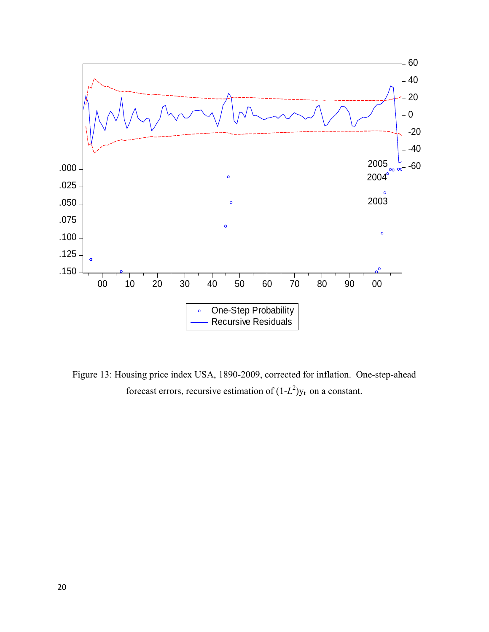

Figure 13: Housing price index USA, 1890-2009, corrected for inflation. One-step-ahead forecast errors, recursive estimation of  $(1-L^2)y_t$  on a constant.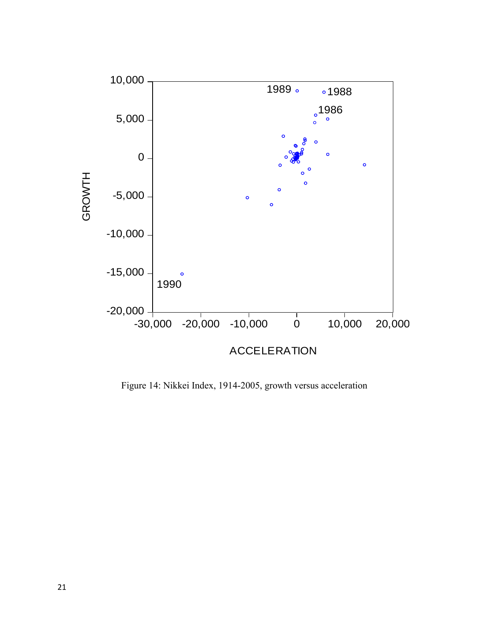

Figure 14: Nikkei Index, 1914-2005, growth versus acceleration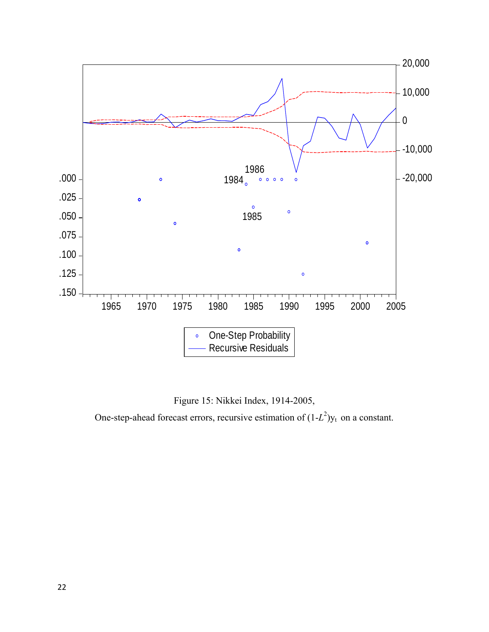

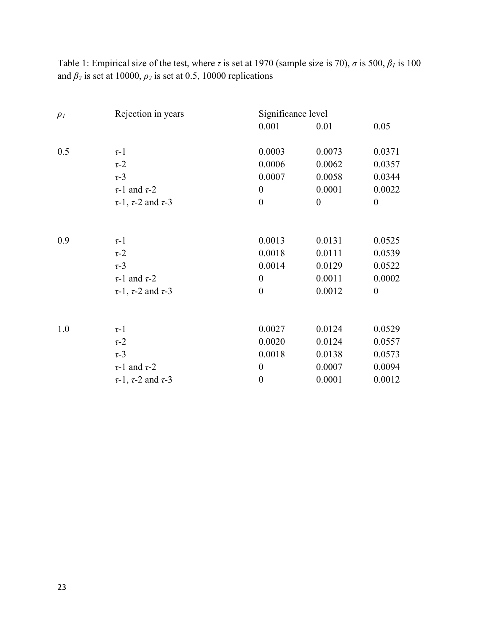Table 1: Empirical size of the test, where  $\tau$  is set at 1970 (sample size is 70),  $\sigma$  is 500,  $\beta_l$  is 100 and  $\beta_2$  is set at 10000,  $\rho_2$  is set at 0.5, 10000 replications

| $\rho_I$ | Rejection in years                 | Significance level |                  |                  |
|----------|------------------------------------|--------------------|------------------|------------------|
|          |                                    | 0.001              | 0.01             | 0.05             |
| 0.5      | $\tau$ -1                          | 0.0003             | 0.0073           | 0.0371           |
|          | $\tau$ -2                          | 0.0006             | 0.0062           | 0.0357           |
|          | $\tau$ -3                          | 0.0007             | 0.0058           | 0.0344           |
|          | $\tau$ -1 and $\tau$ -2            | $\boldsymbol{0}$   | 0.0001           | 0.0022           |
|          | $\tau$ -1, $\tau$ -2 and $\tau$ -3 | $\boldsymbol{0}$   | $\boldsymbol{0}$ | $\boldsymbol{0}$ |
| 0.9      | $\tau$ -1                          | 0.0013             | 0.0131           | 0.0525           |
|          | $\tau$ -2                          | 0.0018             | 0.0111           | 0.0539           |
|          | $\tau$ -3                          | 0.0014             | 0.0129           | 0.0522           |
|          | $\tau$ -1 and $\tau$ -2            | $\boldsymbol{0}$   | 0.0011           | 0.0002           |
|          | $\tau$ -1, $\tau$ -2 and $\tau$ -3 | $\boldsymbol{0}$   | 0.0012           | $\boldsymbol{0}$ |
| 1.0      | $\tau$ -1                          | 0.0027             | 0.0124           | 0.0529           |
|          | $\tau$ -2                          | 0.0020             | 0.0124           | 0.0557           |
|          | $\tau$ -3                          | 0.0018             | 0.0138           | 0.0573           |
|          | $\tau$ -1 and $\tau$ -2            | $\boldsymbol{0}$   | 0.0007           | 0.0094           |
|          | $\tau$ -1, $\tau$ -2 and $\tau$ -3 | $\boldsymbol{0}$   | 0.0001           | 0.0012           |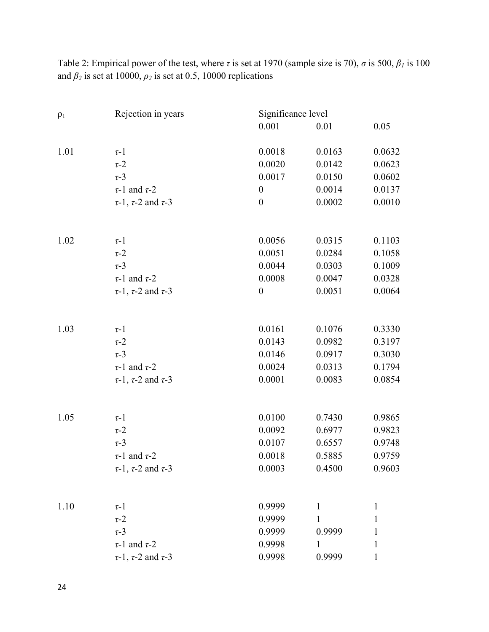Table 2: Empirical power of the test, where *τ* is set at 1970 (sample size is 70), *σ* is 500, *β1* is 100 and  $\beta_2$  is set at 10000,  $\rho_2$  is set at 0.5, 10000 replications

| $\rho_1$ | Rejection in years                 | Significance level |                  |                  |
|----------|------------------------------------|--------------------|------------------|------------------|
|          |                                    | 0.001              | 0.01             | 0.05             |
| 1.01     | $\tau$ -1                          | 0.0018             | 0.0163           | 0.0632           |
|          | $\tau$ -2                          | 0.0020             | 0.0142           | 0.0623           |
|          | $\tau$ -3                          | 0.0017             | 0.0150           | 0.0602           |
|          | $\tau$ -1 and $\tau$ -2            | $\boldsymbol{0}$   | 0.0014           | 0.0137           |
|          | $\tau$ -1, $\tau$ -2 and $\tau$ -3 | $\boldsymbol{0}$   | 0.0002           | 0.0010           |
|          |                                    |                    |                  |                  |
|          |                                    |                    |                  |                  |
| 1.02     | $\tau$ -1<br>$\tau$ -2             | 0.0056<br>0.0051   | 0.0315<br>0.0284 | 0.1103<br>0.1058 |
|          | $\tau$ -3                          |                    |                  | 0.1009           |
|          | $\tau$ -1 and $\tau$ -2            | 0.0044<br>0.0008   | 0.0303<br>0.0047 | 0.0328           |
|          | $\tau$ -1, $\tau$ -2 and $\tau$ -3 | $\boldsymbol{0}$   | 0.0051           | 0.0064           |
|          |                                    |                    |                  |                  |
| 1.03     | $\tau$ -1                          | 0.0161             | 0.1076           | 0.3330           |
|          | $\tau$ -2                          | 0.0143             | 0.0982           | 0.3197           |
|          | $\tau$ -3                          |                    |                  |                  |
|          |                                    | 0.0146             | 0.0917           | 0.3030           |
|          | $\tau$ -1 and $\tau$ -2            | 0.0024<br>0.0001   | 0.0313<br>0.0083 | 0.1794<br>0.0854 |
|          | $\tau$ -1, $\tau$ -2 and $\tau$ -3 |                    |                  |                  |
| 1.05     | $\tau$ -1                          | 0.0100             | 0.7430           | 0.9865           |
|          | $\tau$ -2                          | 0.0092             | 0.6977           | 0.9823           |
|          | $\tau$ -3                          | 0.0107             | 0.6557           | 0.9748           |
|          | $\tau$ -1 and $\tau$ -2            | 0.0018             | 0.5885           | 0.9759           |
|          | $\tau$ -1, $\tau$ -2 and $\tau$ -3 | 0.0003             | 0.4500           | 0.9603           |
|          |                                    |                    |                  |                  |
| 1.10     | $\tau$ -1                          | 0.9999             | $\mathbf{1}$     | $\mathbf{1}$     |
|          | $\tau$ -2                          | 0.9999             | 1                | 1                |
|          | $\tau$ -3                          | 0.9999             | 0.9999           | 1                |
|          | $\tau$ -1 and $\tau$ -2            | 0.9998             | $\mathbf{1}$     | 1                |
|          | $\tau$ -1, $\tau$ -2 and $\tau$ -3 | 0.9998             | 0.9999           | 1                |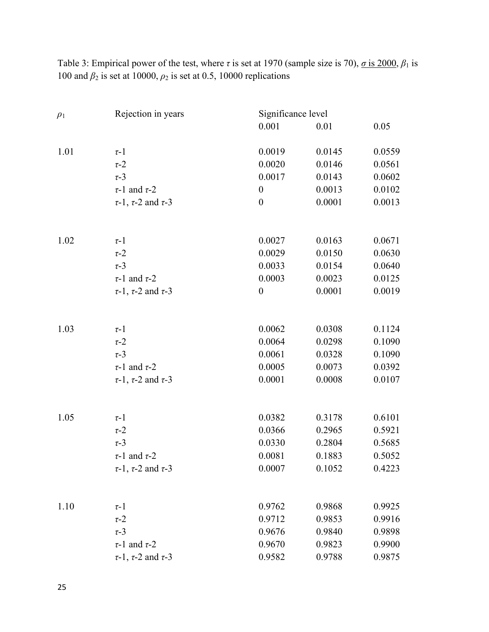Table 3: Empirical power of the test, where  $\tau$  is set at 1970 (sample size is 70),  $\sigma$  is 2000,  $\beta_1$  is 100 and *β*2 is set at 10000, *ρ*2 is set at 0.5, 10000 replications

| 0.001<br>0.05<br>0.01<br>0.0019<br>1.01<br>0.0145<br>0.0559<br>$\tau$ -1<br>0.0020<br>0.0146<br>0.0561<br>$\tau$ -2<br>0.0602<br>$\tau$ -3<br>0.0017<br>0.0143<br>0.0102<br>$\tau$ -1 and $\tau$ -2<br>0.0013<br>$\boldsymbol{0}$<br>0.0001<br>0.0013<br>$\tau$ -1, $\tau$ -2 and $\tau$ -3<br>$\boldsymbol{0}$<br>1.02<br>0.0027<br>0.0163<br>0.0671<br>$\tau$ -1<br>0.0630<br>$\tau$ -2<br>0.0029<br>0.0150<br>$\tau$ -3<br>0.0033<br>0.0154<br>0.0640<br>0.0003<br>$\tau$ -1 and $\tau$ -2<br>0.0023<br>0.0125<br>0.0001<br>0.0019<br>$\boldsymbol{0}$<br>$\tau$ -1, $\tau$ -2 and $\tau$ -3<br>1.03<br>0.0062<br>0.0308<br>0.1124<br>$\tau$ -1<br>0.0064<br>0.0298<br>0.1090<br>$\tau$ -2<br>$\tau$ -3<br>0.0061<br>0.0328<br>0.1090<br>0.0392<br>$\tau$ -1 and $\tau$ -2<br>0.0005<br>0.0073<br>0.0107<br>$\tau$ -1, $\tau$ -2 and $\tau$ -3<br>0.0001<br>0.0008<br>0.6101<br>1.05<br>0.0382<br>0.3178<br>$\tau$ -1<br>$\tau$ -2<br>0.0366<br>0.2965<br>0.5921<br>0.5685<br>$\tau$ -3<br>0.0330<br>0.2804<br>0.5052<br>0.0081<br>0.1883<br>$\tau$ -1 and $\tau$ -2<br>$\tau$ -1, $\tau$ -2 and $\tau$ -3<br>0.0007<br>0.1052<br>0.4223<br>1.10<br>0.9868<br>0.9925<br>0.9762<br>$\tau$ -1<br>0.9712<br>0.9853<br>0.9916<br>$\tau$ -2<br>$\tau$ -3<br>0.9676<br>0.9840<br>0.9898<br>$\tau$ -1 and $\tau$ -2<br>0.9670<br>0.9823<br>0.9900<br>$\tau$ -1, $\tau$ -2 and $\tau$ -3<br>0.9582<br>0.9788<br>0.9875 | $\rho_1$ | Rejection in years | Significance level |  |  |
|-------------------------------------------------------------------------------------------------------------------------------------------------------------------------------------------------------------------------------------------------------------------------------------------------------------------------------------------------------------------------------------------------------------------------------------------------------------------------------------------------------------------------------------------------------------------------------------------------------------------------------------------------------------------------------------------------------------------------------------------------------------------------------------------------------------------------------------------------------------------------------------------------------------------------------------------------------------------------------------------------------------------------------------------------------------------------------------------------------------------------------------------------------------------------------------------------------------------------------------------------------------------------------------------------------------------------------------------------------------------------------------------------------------------|----------|--------------------|--------------------|--|--|
|                                                                                                                                                                                                                                                                                                                                                                                                                                                                                                                                                                                                                                                                                                                                                                                                                                                                                                                                                                                                                                                                                                                                                                                                                                                                                                                                                                                                                   |          |                    |                    |  |  |
|                                                                                                                                                                                                                                                                                                                                                                                                                                                                                                                                                                                                                                                                                                                                                                                                                                                                                                                                                                                                                                                                                                                                                                                                                                                                                                                                                                                                                   |          |                    |                    |  |  |
|                                                                                                                                                                                                                                                                                                                                                                                                                                                                                                                                                                                                                                                                                                                                                                                                                                                                                                                                                                                                                                                                                                                                                                                                                                                                                                                                                                                                                   |          |                    |                    |  |  |
|                                                                                                                                                                                                                                                                                                                                                                                                                                                                                                                                                                                                                                                                                                                                                                                                                                                                                                                                                                                                                                                                                                                                                                                                                                                                                                                                                                                                                   |          |                    |                    |  |  |
|                                                                                                                                                                                                                                                                                                                                                                                                                                                                                                                                                                                                                                                                                                                                                                                                                                                                                                                                                                                                                                                                                                                                                                                                                                                                                                                                                                                                                   |          |                    |                    |  |  |
|                                                                                                                                                                                                                                                                                                                                                                                                                                                                                                                                                                                                                                                                                                                                                                                                                                                                                                                                                                                                                                                                                                                                                                                                                                                                                                                                                                                                                   |          |                    |                    |  |  |
|                                                                                                                                                                                                                                                                                                                                                                                                                                                                                                                                                                                                                                                                                                                                                                                                                                                                                                                                                                                                                                                                                                                                                                                                                                                                                                                                                                                                                   |          |                    |                    |  |  |
|                                                                                                                                                                                                                                                                                                                                                                                                                                                                                                                                                                                                                                                                                                                                                                                                                                                                                                                                                                                                                                                                                                                                                                                                                                                                                                                                                                                                                   |          |                    |                    |  |  |
|                                                                                                                                                                                                                                                                                                                                                                                                                                                                                                                                                                                                                                                                                                                                                                                                                                                                                                                                                                                                                                                                                                                                                                                                                                                                                                                                                                                                                   |          |                    |                    |  |  |
|                                                                                                                                                                                                                                                                                                                                                                                                                                                                                                                                                                                                                                                                                                                                                                                                                                                                                                                                                                                                                                                                                                                                                                                                                                                                                                                                                                                                                   |          |                    |                    |  |  |
|                                                                                                                                                                                                                                                                                                                                                                                                                                                                                                                                                                                                                                                                                                                                                                                                                                                                                                                                                                                                                                                                                                                                                                                                                                                                                                                                                                                                                   |          |                    |                    |  |  |
|                                                                                                                                                                                                                                                                                                                                                                                                                                                                                                                                                                                                                                                                                                                                                                                                                                                                                                                                                                                                                                                                                                                                                                                                                                                                                                                                                                                                                   |          |                    |                    |  |  |
|                                                                                                                                                                                                                                                                                                                                                                                                                                                                                                                                                                                                                                                                                                                                                                                                                                                                                                                                                                                                                                                                                                                                                                                                                                                                                                                                                                                                                   |          |                    |                    |  |  |
|                                                                                                                                                                                                                                                                                                                                                                                                                                                                                                                                                                                                                                                                                                                                                                                                                                                                                                                                                                                                                                                                                                                                                                                                                                                                                                                                                                                                                   |          |                    |                    |  |  |
|                                                                                                                                                                                                                                                                                                                                                                                                                                                                                                                                                                                                                                                                                                                                                                                                                                                                                                                                                                                                                                                                                                                                                                                                                                                                                                                                                                                                                   |          |                    |                    |  |  |
|                                                                                                                                                                                                                                                                                                                                                                                                                                                                                                                                                                                                                                                                                                                                                                                                                                                                                                                                                                                                                                                                                                                                                                                                                                                                                                                                                                                                                   |          |                    |                    |  |  |
|                                                                                                                                                                                                                                                                                                                                                                                                                                                                                                                                                                                                                                                                                                                                                                                                                                                                                                                                                                                                                                                                                                                                                                                                                                                                                                                                                                                                                   |          |                    |                    |  |  |
|                                                                                                                                                                                                                                                                                                                                                                                                                                                                                                                                                                                                                                                                                                                                                                                                                                                                                                                                                                                                                                                                                                                                                                                                                                                                                                                                                                                                                   |          |                    |                    |  |  |
|                                                                                                                                                                                                                                                                                                                                                                                                                                                                                                                                                                                                                                                                                                                                                                                                                                                                                                                                                                                                                                                                                                                                                                                                                                                                                                                                                                                                                   |          |                    |                    |  |  |
|                                                                                                                                                                                                                                                                                                                                                                                                                                                                                                                                                                                                                                                                                                                                                                                                                                                                                                                                                                                                                                                                                                                                                                                                                                                                                                                                                                                                                   |          |                    |                    |  |  |
|                                                                                                                                                                                                                                                                                                                                                                                                                                                                                                                                                                                                                                                                                                                                                                                                                                                                                                                                                                                                                                                                                                                                                                                                                                                                                                                                                                                                                   |          |                    |                    |  |  |
|                                                                                                                                                                                                                                                                                                                                                                                                                                                                                                                                                                                                                                                                                                                                                                                                                                                                                                                                                                                                                                                                                                                                                                                                                                                                                                                                                                                                                   |          |                    |                    |  |  |
|                                                                                                                                                                                                                                                                                                                                                                                                                                                                                                                                                                                                                                                                                                                                                                                                                                                                                                                                                                                                                                                                                                                                                                                                                                                                                                                                                                                                                   |          |                    |                    |  |  |
|                                                                                                                                                                                                                                                                                                                                                                                                                                                                                                                                                                                                                                                                                                                                                                                                                                                                                                                                                                                                                                                                                                                                                                                                                                                                                                                                                                                                                   |          |                    |                    |  |  |
|                                                                                                                                                                                                                                                                                                                                                                                                                                                                                                                                                                                                                                                                                                                                                                                                                                                                                                                                                                                                                                                                                                                                                                                                                                                                                                                                                                                                                   |          |                    |                    |  |  |
|                                                                                                                                                                                                                                                                                                                                                                                                                                                                                                                                                                                                                                                                                                                                                                                                                                                                                                                                                                                                                                                                                                                                                                                                                                                                                                                                                                                                                   |          |                    |                    |  |  |
|                                                                                                                                                                                                                                                                                                                                                                                                                                                                                                                                                                                                                                                                                                                                                                                                                                                                                                                                                                                                                                                                                                                                                                                                                                                                                                                                                                                                                   |          |                    |                    |  |  |
|                                                                                                                                                                                                                                                                                                                                                                                                                                                                                                                                                                                                                                                                                                                                                                                                                                                                                                                                                                                                                                                                                                                                                                                                                                                                                                                                                                                                                   |          |                    |                    |  |  |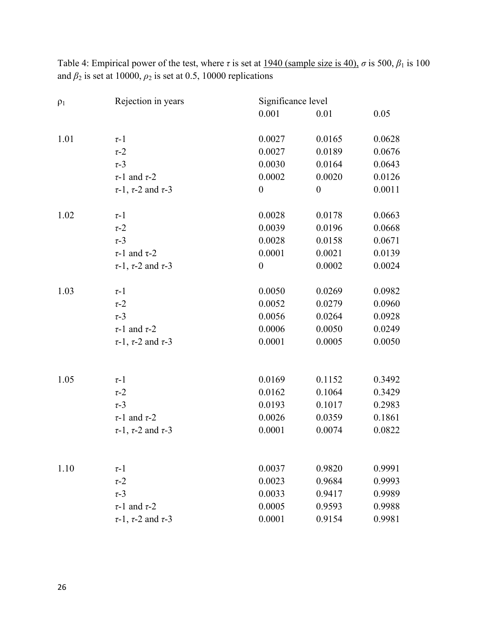Table 4: Empirical power of the test, where  $\tau$  is set at <u>1940 (sample size is 40)</u>,  $\sigma$  is 500,  $\beta_1$  is 100 and  $\beta_2$  is set at 10000,  $\rho_2$  is set at 0.5, 10000 replications

| $\rho_1$ | Rejection in years                 | Significance level |                                                                                                                                                                                                      |        |
|----------|------------------------------------|--------------------|------------------------------------------------------------------------------------------------------------------------------------------------------------------------------------------------------|--------|
|          |                                    | 0.001              | 0.01                                                                                                                                                                                                 | 0.05   |
| 1.01     | $\tau$ -1                          | 0.0027             | 0.0165                                                                                                                                                                                               | 0.0628 |
|          | $\tau$ -2                          | 0.0027             | 0.0189                                                                                                                                                                                               | 0.0676 |
|          | $\tau$ -3                          | 0.0030             | 0.0164                                                                                                                                                                                               | 0.0643 |
|          | $\tau$ -1 and $\tau$ -2            | 0.0002             | 0.0020                                                                                                                                                                                               | 0.0126 |
|          | $\tau$ -1, $\tau$ -2 and $\tau$ -3 | $\boldsymbol{0}$   | $\boldsymbol{0}$                                                                                                                                                                                     | 0.0011 |
| 1.02     | $\tau$ -1                          | 0.0028             | 0.0178<br>0.0039<br>0.0196<br>0.0028<br>0.0158<br>0.0001<br>0.0021<br>0.0002<br>$\boldsymbol{0}$<br>0.0050<br>0.0269<br>0.0052<br>0.0279<br>0.0056<br>0.0264<br>0.0006<br>0.0050<br>0.0001<br>0.0005 | 0.0663 |
|          | $\tau$ -2                          |                    |                                                                                                                                                                                                      | 0.0668 |
|          | $\tau$ -3                          |                    |                                                                                                                                                                                                      | 0.0671 |
|          | $\tau$ -1 and $\tau$ -2            |                    |                                                                                                                                                                                                      | 0.0139 |
|          | $\tau$ -1, $\tau$ -2 and $\tau$ -3 |                    |                                                                                                                                                                                                      | 0.0024 |
| 1.03     | $\tau$ -1                          |                    |                                                                                                                                                                                                      | 0.0982 |
|          | $\tau$ -2                          |                    |                                                                                                                                                                                                      | 0.0960 |
|          | $\tau$ -3                          |                    |                                                                                                                                                                                                      | 0.0928 |
|          | $\tau$ -1 and $\tau$ -2            |                    |                                                                                                                                                                                                      | 0.0249 |
|          | $\tau$ -1, $\tau$ -2 and $\tau$ -3 |                    |                                                                                                                                                                                                      | 0.0050 |
|          |                                    |                    |                                                                                                                                                                                                      |        |
| 1.05     | $\tau$ -1                          | 0.0169             | 0.1152                                                                                                                                                                                               | 0.3492 |
|          | $\tau$ -2                          | 0.0162             | 0.1064                                                                                                                                                                                               | 0.3429 |
|          | $\tau$ -3                          | 0.0193             | 0.1017                                                                                                                                                                                               | 0.2983 |
|          | $\tau$ -1 and $\tau$ -2            | 0.0026             | 0.0359                                                                                                                                                                                               | 0.1861 |
|          | $\tau$ -1, $\tau$ -2 and $\tau$ -3 | 0.0001             | 0.0074                                                                                                                                                                                               | 0.0822 |
|          |                                    | 0.0037             | 0.9820                                                                                                                                                                                               | 0.9991 |
| 1.10     | $\tau$ -1<br>$\tau$ -2             | 0.0023             | 0.9684                                                                                                                                                                                               | 0.9993 |
|          | $\tau$ -3                          | 0.0033             | 0.9417                                                                                                                                                                                               | 0.9989 |
|          |                                    |                    |                                                                                                                                                                                                      |        |
|          | $\tau$ -1 and $\tau$ -2            | 0.0005             | 0.9593<br>0.9154                                                                                                                                                                                     | 0.9988 |
|          | $\tau$ -1, $\tau$ -2 and $\tau$ -3 | 0.0001             |                                                                                                                                                                                                      | 0.9981 |